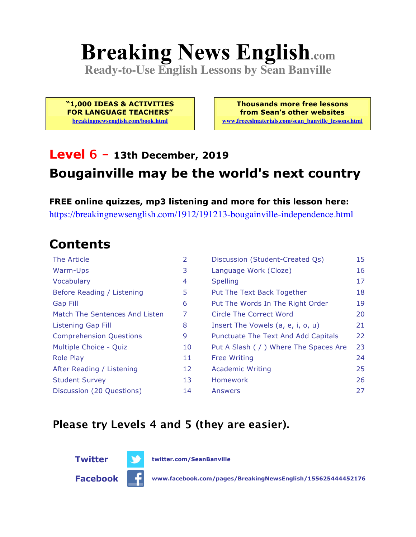# **Breaking News English.com**

**Ready-to-Use English Lessons by Sean Banville**

**"1,000 IDEAS & ACTIVITIES FOR LANGUAGE TEACHERS" breakingnewsenglish.com/book.html**

**Thousands more free lessons from Sean's other websites www.freeeslmaterials.com/sean\_banville\_lessons.html**

### **Level 6 - 13th December, 2019 Bougainville may be the world's next country**

**FREE online quizzes, mp3 listening and more for this lesson here:** https://breakingnewsenglish.com/1912/191213-bougainville-independence.html

#### **Contents**

| The Article                    | 2  | Discussion (Student-Created Qs)        | 15 |
|--------------------------------|----|----------------------------------------|----|
| Warm-Ups                       | 3  | Language Work (Cloze)                  | 16 |
| Vocabulary                     | 4  | <b>Spelling</b>                        | 17 |
| Before Reading / Listening     | 5  | Put The Text Back Together             | 18 |
| Gap Fill                       | 6  | Put The Words In The Right Order       | 19 |
| Match The Sentences And Listen | 7  | Circle The Correct Word                | 20 |
| Listening Gap Fill             | 8  | Insert The Vowels (a, e, i, o, u)      | 21 |
| <b>Comprehension Questions</b> | 9  | Punctuate The Text And Add Capitals    | 22 |
| Multiple Choice - Quiz         | 10 | Put A Slash ( / ) Where The Spaces Are | 23 |
| <b>Role Play</b>               | 11 | <b>Free Writing</b>                    | 24 |
| After Reading / Listening      | 12 | <b>Academic Writing</b>                | 25 |
| <b>Student Survey</b>          | 13 | Homework                               | 26 |
| Discussion (20 Questions)      | 14 | Answers                                | 27 |

#### **Please try Levels 4 and 5 (they are easier).**





**Facebook www.facebook.com/pages/BreakingNewsEnglish/155625444452176**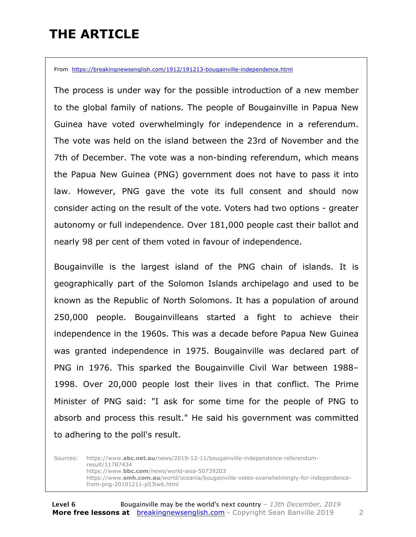### **THE ARTICLE**

From https://breakingnewsenglish.com/1912/191213-bougainville-independence.html

The process is under way for the possible introduction of a new member to the global family of nations. The people of Bougainville in Papua New Guinea have voted overwhelmingly for independence in a referendum. The vote was held on the island between the 23rd of November and the 7th of December. The vote was a non-binding referendum, which means the Papua New Guinea (PNG) government does not have to pass it into law. However, PNG gave the vote its full consent and should now consider acting on the result of the vote. Voters had two options - greater autonomy or full independence. Over 181,000 people cast their ballot and nearly 98 per cent of them voted in favour of independence.

Bougainville is the largest island of the PNG chain of islands. It is geographically part of the Solomon Islands archipelago and used to be known as the Republic of North Solomons. It has a population of around 250,000 people. Bougainvilleans started a fight to achieve their independence in the 1960s. This was a decade before Papua New Guinea was granted independence in 1975. Bougainville was declared part of PNG in 1976. This sparked the Bougainville Civil War between 1988– 1998. Over 20,000 people lost their lives in that conflict. The Prime Minister of PNG said: "I ask for some time for the people of PNG to absorb and process this result." He said his government was committed to adhering to the poll's result.

Sources: https://www.**abc.net.au**/news/2019-12-11/bougainville-independence-referendumresult/11787434 https://www.**bbc.com**/news/world-asia-50739203 https://www.**smh.com.au**/world/oceania/bougainville-votes-overwhelmingly-for-independencefrom-png-20191211-p53iw6.html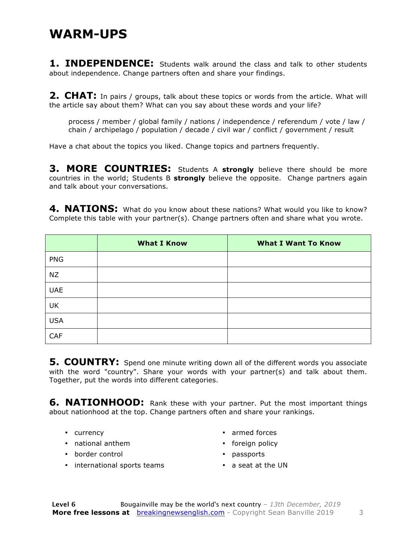#### **WARM-UPS**

**1. INDEPENDENCE:** Students walk around the class and talk to other students about independence. Change partners often and share your findings.

**2. CHAT:** In pairs / groups, talk about these topics or words from the article. What will the article say about them? What can you say about these words and your life?

process / member / global family / nations / independence / referendum / vote / law / chain / archipelago / population / decade / civil war / conflict / government / result

Have a chat about the topics you liked. Change topics and partners frequently.

**3. MORE COUNTRIES:** Students A **strongly** believe there should be more countries in the world; Students B **strongly** believe the opposite. Change partners again and talk about your conversations.

4. NATIONS: What do you know about these nations? What would you like to know? Complete this table with your partner(s). Change partners often and share what you wrote.

|            | <b>What I Know</b> | <b>What I Want To Know</b> |
|------------|--------------------|----------------------------|
| <b>PNG</b> |                    |                            |
| <b>NZ</b>  |                    |                            |
| <b>UAE</b> |                    |                            |
| UK         |                    |                            |
| <b>USA</b> |                    |                            |
| CAF        |                    |                            |

**5. COUNTRY:** Spend one minute writing down all of the different words you associate with the word "country". Share your words with your partner(s) and talk about them. Together, put the words into different categories.

**6. NATIONHOOD:** Rank these with your partner. Put the most important things about nationhood at the top. Change partners often and share your rankings.

- currency
- national anthem
- border control
- armed forces
- foreign policy
- passports
- international sports teams
- a seat at the UN
-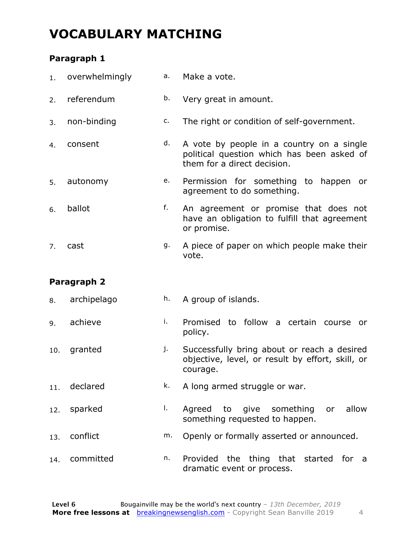#### **VOCABULARY MATCHING**

#### **Paragraph 1**

| 1.  | overwhelmingly | а. | Make a vote.                                                                                                           |
|-----|----------------|----|------------------------------------------------------------------------------------------------------------------------|
| 2.  | referendum     | b. | Very great in amount.                                                                                                  |
| 3.  | non-binding    | c. | The right or condition of self-government.                                                                             |
| 4.  | consent        | d. | A vote by people in a country on a single<br>political question which has been asked of<br>them for a direct decision. |
| 5.  | autonomy       | e. | Permission for something to happen or<br>agreement to do something.                                                    |
| 6.  | ballot         | f. | An agreement or promise that does not<br>have an obligation to fulfill that agreement<br>or promise.                   |
| 7.  | cast           | g. | A piece of paper on which people make their<br>vote.                                                                   |
|     | Paragraph 2    |    |                                                                                                                        |
| 8.  | archipelago    | h. | A group of islands.                                                                                                    |
| 9.  | achieve        | i. | Promised to follow a certain course<br>or<br>policy.                                                                   |
| 10. | granted        | j. | Successfully bring about or reach a desired<br>objective, level, or result by effort, skill, or                        |
| 11. |                |    | courage.                                                                                                               |
|     | declared       | k. | A long armed struggle or war.                                                                                          |
| 12. | sparked        | Ι. | Agreed to give<br>allow<br>something<br>or<br>something requested to happen.                                           |
| 13. | conflict       | m. | Openly or formally asserted or announced.                                                                              |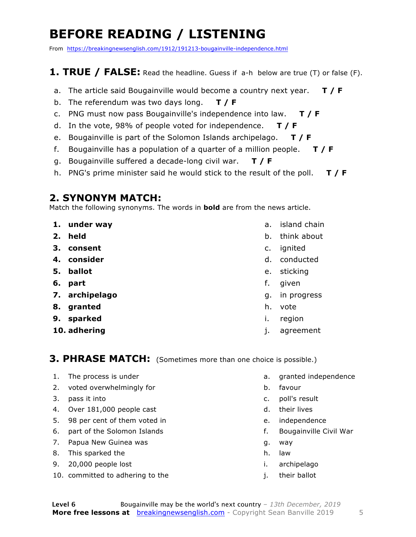### **BEFORE READING / LISTENING**

From https://breakingnewsenglish.com/1912/191213-bougainville-independence.html

#### **1. TRUE / FALSE:** Read the headline. Guess if a-h below are true (T) or false (F).

- a. The article said Bougainville would become a country next year. **T / F**
- b. The referendum was two days long. **T / F**
- c. PNG must now pass Bougainville's independence into law. **T / F**
- d. In the vote, 98% of people voted for independence. **T / F**
- e. Bougainville is part of the Solomon Islands archipelago. **T / F**
- f. Bougainville has a population of a quarter of a million people. **T / F**
- g. Bougainville suffered a decade-long civil war. **T / F**
- h. PNG's prime minister said he would stick to the result of the poll. **T / F**

#### **2. SYNONYM MATCH:**

Match the following synonyms. The words in **bold** are from the news article.

- **1. under way**
- **2. held**
- **3. consent**
- **4. consider**
- **5. ballot**
- **6. part**
- **7. archipelago**
- **8. granted**
- **9. sparked**
- **10. adhering**
- a. island chain
- b. think about
- c. ignited
- d. conducted
- e. sticking
- f. given
- g. in progress
- h. vote
- i. region
- j. agreement

#### **3. PHRASE MATCH:** (Sometimes more than one choice is possible.)

- 1. The process is under
- 2. voted overwhelmingly for
- 3. pass it into
- 4. Over 181,000 people cast
- 5. 98 per cent of them voted in
- 6. part of the Solomon Islands
- 7. Papua New Guinea was
- 8. This sparked the
- 9. 20,000 people lost
- 10. committed to adhering to the
- a. granted independence
- b. favour
- c. poll's result
- d. their lives
- e. independence
- f. Bougainville Civil War
- g. way
- h. law
- i. archipelago
- j. their ballot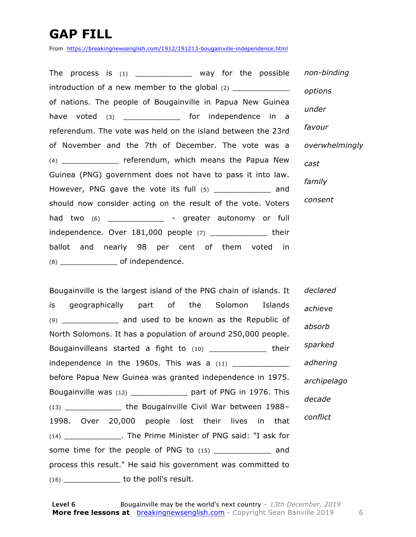### **GAP FILL**

From https://breakingnewsenglish.com/1912/191213-bougainville-independence.html

The process is  $(1)$  \_\_\_\_\_\_\_\_\_\_\_\_\_ way for the possible introduction of a new member to the global  $(2)$ of nations. The people of Bougainville in Papua New Guinea have voted (3) \_\_\_\_\_\_\_\_\_\_\_\_\_\_ for independence in a referendum. The vote was held on the island between the 23rd of November and the 7th of December. The vote was a (4) \_\_\_\_\_\_\_\_\_\_\_\_ referendum, which means the Papua New Guinea (PNG) government does not have to pass it into law. However, PNG gave the vote its full (5) and should now consider acting on the result of the vote. Voters had two (6) \_\_\_\_\_\_\_\_\_\_\_\_ - greater autonomy or full independence. Over 181,000 people (7) \_\_\_\_\_\_\_\_\_\_\_\_ their ballot and nearly 98 per cent of them voted in (8) \_\_\_\_\_\_\_\_\_\_\_\_ of independence. *non-binding options under favour overwhelmingly cast family consent*

Bougainville is the largest island of the PNG chain of islands. It is geographically part of the Solomon Islands (9) \_\_\_\_\_\_\_\_\_\_\_\_ and used to be known as the Republic of North Solomons. It has a population of around 250,000 people. Bougainvilleans started a fight to (10) \_\_\_\_\_\_\_\_\_\_\_\_ their independence in the 1960s. This was a  $(11)$ before Papua New Guinea was granted independence in 1975. Bougainville was (12) \_\_\_\_\_\_\_\_\_\_\_\_ part of PNG in 1976. This (13) \_\_\_\_\_\_\_\_\_\_\_\_ the Bougainville Civil War between 1988– 1998. Over 20,000 people lost their lives in that (14) \_\_\_\_\_\_\_\_\_\_\_\_. The Prime Minister of PNG said: "I ask for some time for the people of PNG to (15) \_\_\_\_\_\_\_\_\_\_\_\_\_ and process this result." He said his government was committed to  $(16)$  \_\_\_\_\_\_\_\_\_\_\_\_\_\_\_\_\_ to the poll's result. *declared achieve absorb sparked adhering archipelago decade conflict*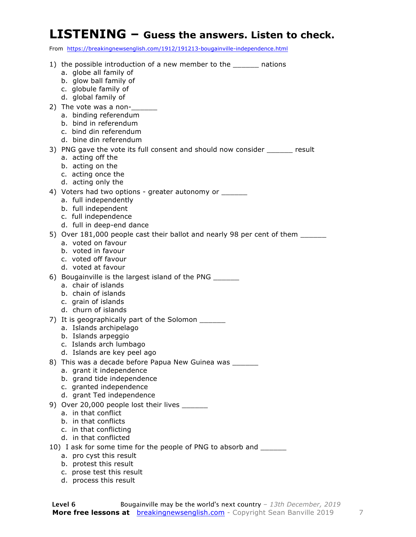#### **LISTENING – Guess the answers. Listen to check.**

From https://breakingnewsenglish.com/1912/191213-bougainville-independence.html

| 1) the possible introduction of a new member to the _______ nations            |
|--------------------------------------------------------------------------------|
| a. globe all family of                                                         |
| b. glow ball family of                                                         |
| c. globule family of                                                           |
| d. global family of                                                            |
| 2) The vote was a non-                                                         |
| a. binding referendum                                                          |
| b. bind in referendum                                                          |
| c. bind din referendum                                                         |
| d. bine din referendum                                                         |
| 3) PNG gave the vote its full consent and should now consider _______ result   |
| a. acting off the                                                              |
| b. acting on the                                                               |
| c. acting once the                                                             |
| d. acting only the                                                             |
| 4) Voters had two options - greater autonomy or _______                        |
| a. full independently                                                          |
| b. full independent                                                            |
| c. full independence                                                           |
| d. full in deep-end dance                                                      |
| 5) Over 181,000 people cast their ballot and nearly 98 per cent of them ______ |
| a. voted on favour                                                             |
| b. voted in favour                                                             |
| c. voted off favour                                                            |
| d. voted at favour                                                             |
| 6) Bougainville is the largest island of the PNG ______                        |
| a. chair of islands                                                            |
| b. chain of islands                                                            |
| c. grain of islands<br>d. churn of islands                                     |
|                                                                                |
| 7) It is geographically part of the Solomon                                    |
| a. Islands archipelago                                                         |
| b. Islands arpeggio<br>c. Islands arch lumbago                                 |
| d. Islands are key peel ago                                                    |
| 8) This was a decade before Papua New Guinea was _______                       |
| a. grant it independence                                                       |
| b. grand tide independence                                                     |
| c. granted independence                                                        |
| d. grant Ted independence                                                      |
| 9) Over 20,000 people lost their lives ______                                  |
| a. in that conflict                                                            |
| b. in that conflicts                                                           |
| c. in that conflicting                                                         |
| d. in that conflicted                                                          |
| 10) I ask for some time for the people of PNG to absorb and ______             |
| a. pro cyst this result                                                        |
| b. protest this result                                                         |
| c. prose test this result                                                      |
| d. process this result                                                         |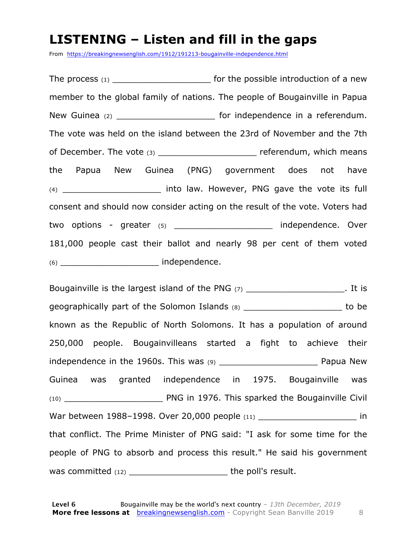#### **LISTENING – Listen and fill in the gaps**

From https://breakingnewsenglish.com/1912/191213-bougainville-independence.html

The process  $(1)$  \_\_\_\_\_\_\_\_\_\_\_\_\_\_\_\_\_\_\_\_\_\_\_\_\_\_ for the possible introduction of a new member to the global family of nations. The people of Bougainville in Papua New Guinea (2) **New Guinea** (2) **New Guinea** (2) **New Guinea** (2) The vote was held on the island between the 23rd of November and the 7th of December. The vote (3) \_\_\_\_\_\_\_\_\_\_\_\_\_\_\_\_\_\_\_\_\_\_\_\_ referendum, which means the Papua New Guinea (PNG) government does not have (4) **Example 2 into law. However, PNG gave the vote its full** consent and should now consider acting on the result of the vote. Voters had two options - greater (5) example the independence. Over 181,000 people cast their ballot and nearly 98 per cent of them voted (6) \_\_\_\_\_\_\_\_\_\_\_\_\_\_\_\_\_\_\_ independence.

Bougainville is the largest island of the PNG  $(7)$  . It is geographically part of the Solomon Islands (8) degree of the solomon Islands (8) known as the Republic of North Solomons. It has a population of around 250,000 people. Bougainvilleans started a fight to achieve their independence in the 1960s. This was (9) \_\_\_\_\_\_\_\_\_\_\_\_\_\_\_\_\_\_\_ Papua New Guinea was granted independence in 1975. Bougainville was (10) \_\_\_\_\_\_\_\_\_\_\_\_\_\_\_\_\_\_\_ PNG in 1976. This sparked the Bougainville Civil War between 1988–1998. Over 20,000 people (11) and the state of the state of the state of the state of the war that conflict. The Prime Minister of PNG said: "I ask for some time for the people of PNG to absorb and process this result." He said his government was committed (12) \_\_\_\_\_\_\_\_\_\_\_\_\_\_\_\_\_\_\_\_\_\_\_\_\_\_\_\_\_\_\_\_the poll's result.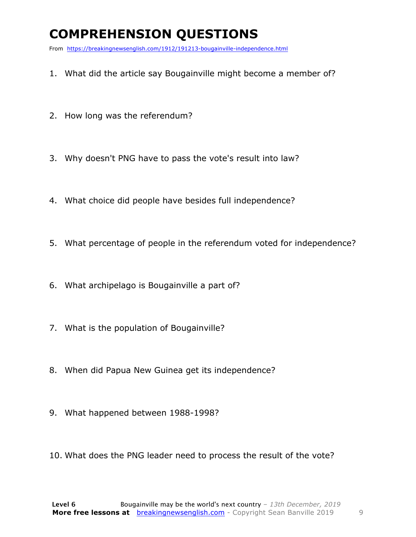### **COMPREHENSION QUESTIONS**

From https://breakingnewsenglish.com/1912/191213-bougainville-independence.html

- 1. What did the article say Bougainville might become a member of?
- 2. How long was the referendum?
- 3. Why doesn't PNG have to pass the vote's result into law?
- 4. What choice did people have besides full independence?
- 5. What percentage of people in the referendum voted for independence?
- 6. What archipelago is Bougainville a part of?
- 7. What is the population of Bougainville?
- 8. When did Papua New Guinea get its independence?
- 9. What happened between 1988-1998?
- 10. What does the PNG leader need to process the result of the vote?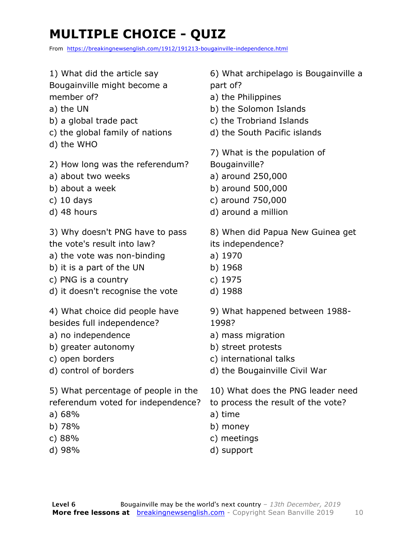### **MULTIPLE CHOICE - QUIZ**

From https://breakingnewsenglish.com/1912/191213-bougainville-independence.html

- 1) What did the article say Bougainville might become a
- member of?
- a) the UN
- b) a global trade pact
- c) the global family of nations
- d) the WHO
- 2) How long was the referendum?
- a) about two weeks
- b) about a week
- c) 10 days
- d) 48 hours

3) Why doesn't PNG have to pass the vote's result into law?

- a) the vote was non-binding
- b) it is a part of the UN
- c) PNG is a country
- d) it doesn't recognise the vote

4) What choice did people have besides full independence?

- a) no independence
- b) greater autonomy
- c) open borders
- d) control of borders

5) What percentage of people in the referendum voted for independence?

- a) 68%
- b) 78%
- c) 88%
- d) 98%

6) What archipelago is Bougainville a part of?

- a) the Philippines
- b) the Solomon Islands
- c) the Trobriand Islands
- d) the South Pacific islands

7) What is the population of Bougainville?

- a) around 250,000
- b) around 500,000
- c) around 750,000
- d) around a million
- 8) When did Papua New Guinea get
- its independence?
- a) 1970
- b) 1968
- c) 1975
- d) 1988

9) What happened between 1988- 1998?

- a) mass migration
- b) street protests
- c) international talks
- d) the Bougainville Civil War
- 10) What does the PNG leader need
- to process the result of the vote?
- a) time
- b) money
- c) meetings
- d) support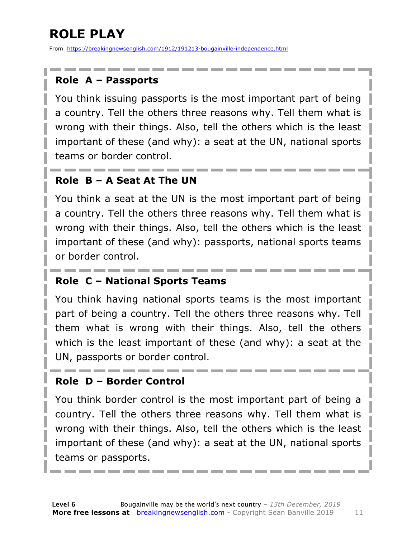## **ROLE PLAY**

From https://breakingnewsenglish.com/1912/191213-bougainville-independence.html

#### **Role A – Passports**

You think issuing passports is the most important part of being a country. Tell the others three reasons why. Tell them what is wrong with their things. Also, tell the others which is the least important of these (and why): a seat at the UN, national sports teams or border control.

#### **Role B – A Seat At The UN**

You think a seat at the UN is the most important part of being a country. Tell the others three reasons why. Tell them what is wrong with their things. Also, tell the others which is the least important of these (and why): passports, national sports teams or border control.

#### **Role C – National Sports Teams**

You think having national sports teams is the most important part of being a country. Tell the others three reasons why. Tell them what is wrong with their things. Also, tell the others which is the least important of these (and why): a seat at the UN, passports or border control.

#### **Role D – Border Control**

You think border control is the most important part of being a country. Tell the others three reasons why. Tell them what is wrong with their things. Also, tell the others which is the least important of these (and why): a seat at the UN, national sports teams or passports.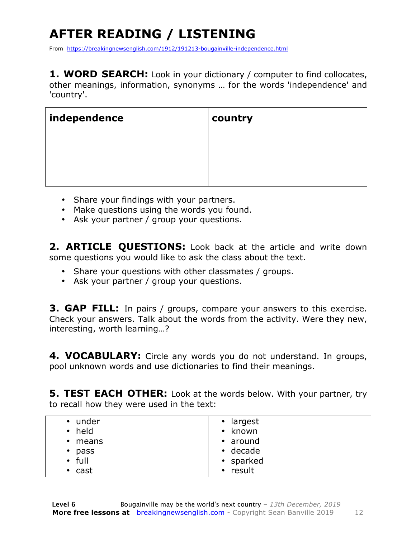## **AFTER READING / LISTENING**

From https://breakingnewsenglish.com/1912/191213-bougainville-independence.html

**1. WORD SEARCH:** Look in your dictionary / computer to find collocates, other meanings, information, synonyms … for the words 'independence' and 'country'.

| independence | country |
|--------------|---------|
|              |         |
|              |         |
|              |         |

- Share your findings with your partners.
- Make questions using the words you found.
- Ask your partner / group your questions.

**2. ARTICLE QUESTIONS:** Look back at the article and write down some questions you would like to ask the class about the text.

- Share your questions with other classmates / groups.
- Ask your partner / group your questions.

**3. GAP FILL:** In pairs / groups, compare your answers to this exercise. Check your answers. Talk about the words from the activity. Were they new, interesting, worth learning…?

**4. VOCABULARY:** Circle any words you do not understand. In groups, pool unknown words and use dictionaries to find their meanings.

**5. TEST EACH OTHER:** Look at the words below. With your partner, try to recall how they were used in the text:

| • under<br>• held | • largest<br>known<br>$\bullet$ |
|-------------------|---------------------------------|
| $\cdot$ means     | $\cdot$ around                  |
| $\cdot$ pass      | $\cdot$ decade                  |
| $\cdot$ full      | • sparked                       |
| $\cdot$ cast      | • result                        |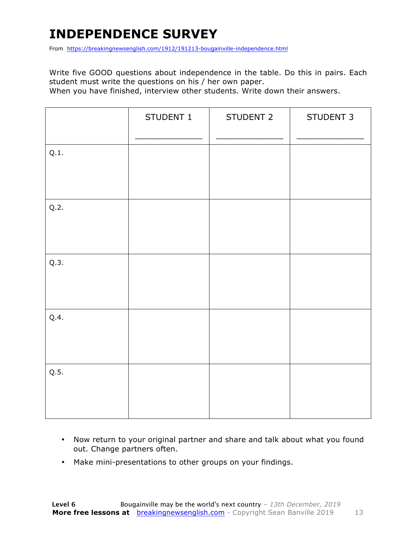### **INDEPENDENCE SURVEY**

From https://breakingnewsenglish.com/1912/191213-bougainville-independence.html

Write five GOOD questions about independence in the table. Do this in pairs. Each student must write the questions on his / her own paper.

When you have finished, interview other students. Write down their answers.

|      | STUDENT 1 | STUDENT 2 | STUDENT 3 |
|------|-----------|-----------|-----------|
| Q.1. |           |           |           |
| Q.2. |           |           |           |
| Q.3. |           |           |           |
| Q.4. |           |           |           |
| Q.5. |           |           |           |

- Now return to your original partner and share and talk about what you found out. Change partners often.
- Make mini-presentations to other groups on your findings.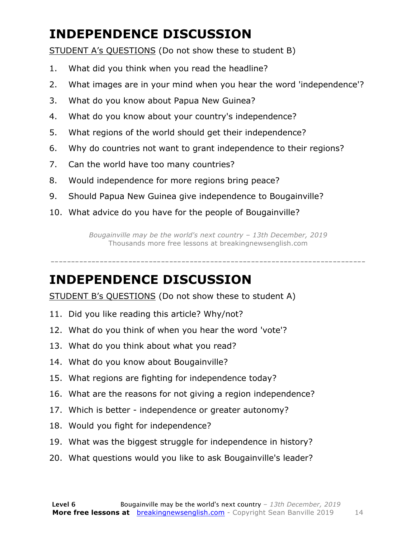### **INDEPENDENCE DISCUSSION**

STUDENT A's QUESTIONS (Do not show these to student B)

- 1. What did you think when you read the headline?
- 2. What images are in your mind when you hear the word 'independence'?
- 3. What do you know about Papua New Guinea?
- 4. What do you know about your country's independence?
- 5. What regions of the world should get their independence?
- 6. Why do countries not want to grant independence to their regions?
- 7. Can the world have too many countries?
- 8. Would independence for more regions bring peace?
- 9. Should Papua New Guinea give independence to Bougainville?
- 10. What advice do you have for the people of Bougainville?

*Bougainville may be the world's next country – 13th December, 2019* Thousands more free lessons at breakingnewsenglish.com

### -----------------------------------------------------------------------------

#### **INDEPENDENCE DISCUSSION**

STUDENT B's QUESTIONS (Do not show these to student A)

- 11. Did you like reading this article? Why/not?
- 12. What do you think of when you hear the word 'vote'?
- 13. What do you think about what you read?
- 14. What do you know about Bougainville?
- 15. What regions are fighting for independence today?
- 16. What are the reasons for not giving a region independence?
- 17. Which is better independence or greater autonomy?
- 18. Would you fight for independence?
- 19. What was the biggest struggle for independence in history?
- 20. What questions would you like to ask Bougainville's leader?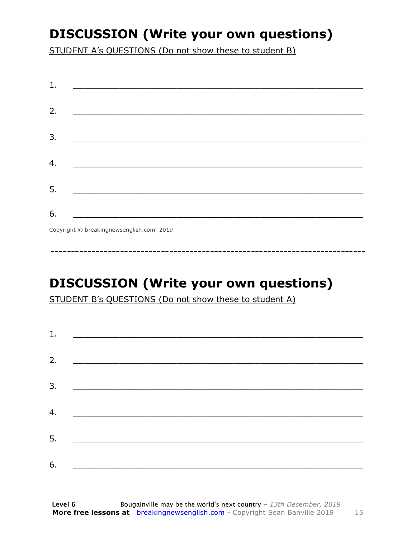### **DISCUSSION (Write your own questions)**

STUDENT A's QUESTIONS (Do not show these to student B)

| 1. |                                                                                                                       |
|----|-----------------------------------------------------------------------------------------------------------------------|
|    |                                                                                                                       |
| 2. |                                                                                                                       |
|    |                                                                                                                       |
| 3. |                                                                                                                       |
|    |                                                                                                                       |
| 4. | <u> 1989 - Johann Stoff, deutscher Stoff, der Stoff, der Stoff, der Stoff, der Stoff, der Stoff, der Stoff, der S</u> |
|    |                                                                                                                       |
| 5. |                                                                                                                       |
|    |                                                                                                                       |
| 6. |                                                                                                                       |
|    | Copyright © breakingnewsenglish.com 2019                                                                              |

**DISCUSSION (Write your own questions)** 

STUDENT B's QUESTIONS (Do not show these to student A)

| 1. | <u> 1989 - Andrea Barbara, Amerikaansk politiker (</u>                           |  |  |
|----|----------------------------------------------------------------------------------|--|--|
| 2. |                                                                                  |  |  |
|    |                                                                                  |  |  |
| 3. |                                                                                  |  |  |
| 4. | <u> 1989 - Andrea Brand, amerikansk politik (</u>                                |  |  |
| 5. | <u> 1980 - Johann Barn, mars eta bainar eta bainar eta horrialdea (h. 1980).</u> |  |  |
| 6. |                                                                                  |  |  |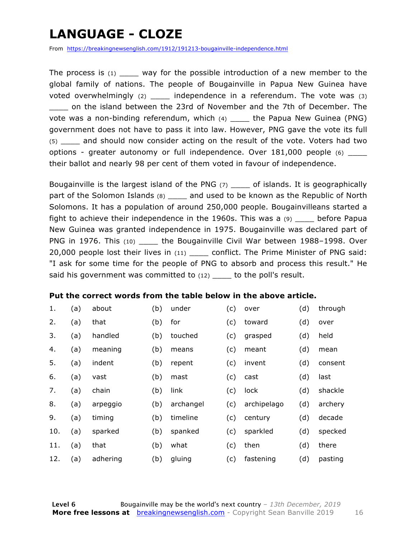### **LANGUAGE - CLOZE**

From https://breakingnewsenglish.com/1912/191213-bougainville-independence.html

The process is  $(1)$  way for the possible introduction of a new member to the global family of nations. The people of Bougainville in Papua New Guinea have voted overwhelmingly (2) \_\_\_\_ independence in a referendum. The vote was (3) \_\_\_\_ on the island between the 23rd of November and the 7th of December. The vote was a non-binding referendum, which (4) \_\_\_\_ the Papua New Guinea (PNG) government does not have to pass it into law. However, PNG gave the vote its full (5) \_\_\_\_ and should now consider acting on the result of the vote. Voters had two options - greater autonomy or full independence. Over 181,000 people (6) their ballot and nearly 98 per cent of them voted in favour of independence.

Bougainville is the largest island of the PNG (7) \_\_\_\_ of islands. It is geographically part of the Solomon Islands (8) \_\_\_\_ and used to be known as the Republic of North Solomons. It has a population of around 250,000 people. Bougainvilleans started a fight to achieve their independence in the 1960s. This was a (9) \_\_\_\_ before Papua New Guinea was granted independence in 1975. Bougainville was declared part of PNG in 1976. This (10) the Bougainville Civil War between 1988–1998. Over 20,000 people lost their lives in (11) \_\_\_\_ conflict. The Prime Minister of PNG said: "I ask for some time for the people of PNG to absorb and process this result." He said his government was committed to (12) \_\_\_\_ to the poll's result.

#### **Put the correct words from the table below in the above article.**

| 1.  | (a) | about    | (b) | under     | (c) | over        | (d) | through |
|-----|-----|----------|-----|-----------|-----|-------------|-----|---------|
| 2.  | (a) | that     | (b) | for       | (c) | toward      | (d) | over    |
| 3.  | (a) | handled  | (b) | touched   | (c) | grasped     | (d) | held    |
| 4.  | (a) | meaning  | (b) | means     | (c) | meant       | (d) | mean    |
| 5.  | (a) | indent   | (b) | repent    | (c) | invent      | (d) | consent |
| 6.  | (a) | vast     | (b) | mast      | (c) | cast        | (d) | last    |
| 7.  | (a) | chain    | (b) | link      | (c) | lock        | (d) | shackle |
| 8.  | (a) | arpeggio | (b) | archangel | (c) | archipelago | (d) | archery |
| 9.  | (a) | timing   | (b) | timeline  | (c) | century     | (d) | decade  |
| 10. | (a) | sparked  | (b) | spanked   | (c) | sparkled    | (d) | specked |
| 11. | (a) | that     | (b) | what      | (c) | then        | (d) | there   |
| 12. | (a) | adhering | (b) | gluing    | (c) | fastening   | (d) | pasting |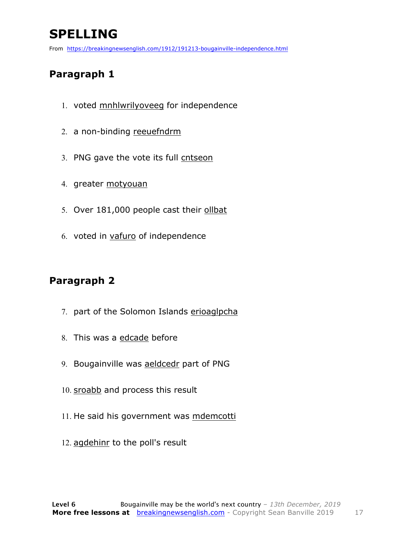### **SPELLING**

From https://breakingnewsenglish.com/1912/191213-bougainville-independence.html

#### **Paragraph 1**

- 1. voted mnhlwrilyoveeg for independence
- 2. a non-binding reeuefndrm
- 3. PNG gave the vote its full cntseon
- 4. greater motyouan
- 5. Over 181,000 people cast their ollbat
- 6. voted in vafuro of independence

#### **Paragraph 2**

- 7. part of the Solomon Islands erioaglpcha
- 8. This was a edcade before
- 9. Bougainville was aeldcedr part of PNG
- 10. sroabb and process this result
- 11. He said his government was mdemcotti
- 12. agdehinr to the poll's result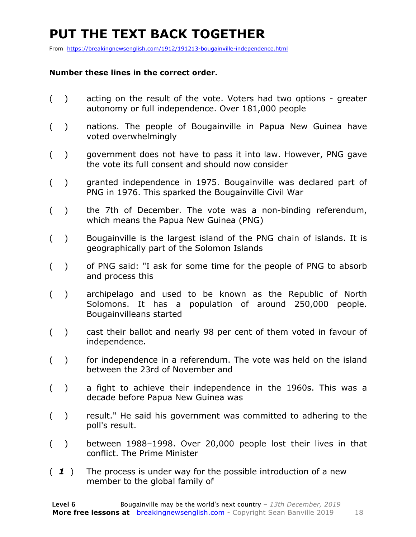### **PUT THE TEXT BACK TOGETHER**

From https://breakingnewsenglish.com/1912/191213-bougainville-independence.html

#### **Number these lines in the correct order.**

- ( ) acting on the result of the vote. Voters had two options greater autonomy or full independence. Over 181,000 people
- ( ) nations. The people of Bougainville in Papua New Guinea have voted overwhelmingly
- ( ) government does not have to pass it into law. However, PNG gave the vote its full consent and should now consider
- ( ) granted independence in 1975. Bougainville was declared part of PNG in 1976. This sparked the Bougainville Civil War
- ( ) the 7th of December. The vote was a non-binding referendum, which means the Papua New Guinea (PNG)
- ( ) Bougainville is the largest island of the PNG chain of islands. It is geographically part of the Solomon Islands
- ( ) of PNG said: "I ask for some time for the people of PNG to absorb and process this
- ( ) archipelago and used to be known as the Republic of North Solomons. It has a population of around 250,000 people. Bougainvilleans started
- ( ) cast their ballot and nearly 98 per cent of them voted in favour of independence.
- ( ) for independence in a referendum. The vote was held on the island between the 23rd of November and
- ( ) a fight to achieve their independence in the 1960s. This was a decade before Papua New Guinea was
- ( ) result." He said his government was committed to adhering to the poll's result.
- ( ) between 1988–1998. Over 20,000 people lost their lives in that conflict. The Prime Minister
- ( *1* ) The process is under way for the possible introduction of a new member to the global family of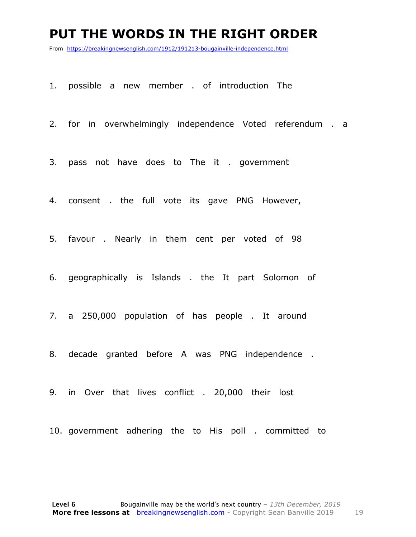#### **PUT THE WORDS IN THE RIGHT ORDER**

From https://breakingnewsenglish.com/1912/191213-bougainville-independence.html

1. possible a new member . of introduction The

2. for in overwhelmingly independence Voted referendum . a

3. pass not have does to The it . government

4. consent . the full vote its gave PNG However,

5. favour . Nearly in them cent per voted of 98

6. geographically is Islands . the It part Solomon of

7. a 250,000 population of has people . It around

8. decade granted before A was PNG independence .

9. in Over that lives conflict . 20,000 their lost

10. government adhering the to His poll . committed to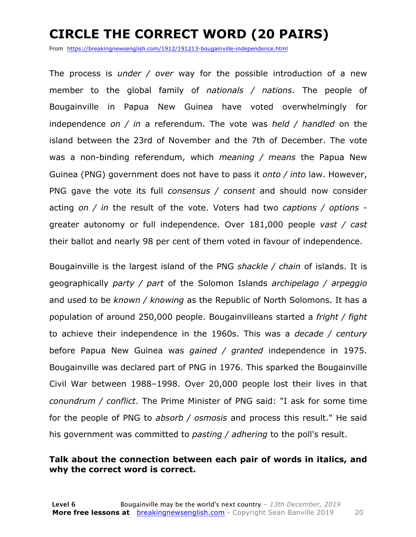### **CIRCLE THE CORRECT WORD (20 PAIRS)**

From https://breakingnewsenglish.com/1912/191213-bougainville-independence.html

The process is *under / over* way for the possible introduction of a new member to the global family of *nationals / nations*. The people of Bougainville in Papua New Guinea have voted overwhelmingly for independence *on / in* a referendum. The vote was *held / handled* on the island between the 23rd of November and the 7th of December. The vote was a non-binding referendum, which *meaning / means* the Papua New Guinea (PNG) government does not have to pass it *onto / into* law. However, PNG gave the vote its full *consensus / consent* and should now consider acting *on / in* the result of the vote. Voters had two *captions / options* greater autonomy or full independence. Over 181,000 people *vast / cast* their ballot and nearly 98 per cent of them voted in favour of independence.

Bougainville is the largest island of the PNG *shackle / chain* of islands. It is geographically *party / part* of the Solomon Islands *archipelago / arpeggio* and used to be *known / knowing* as the Republic of North Solomons. It has a population of around 250,000 people. Bougainvilleans started a *fright / fight* to achieve their independence in the 1960s. This was a *decade / century* before Papua New Guinea was *gained / granted* independence in 1975. Bougainville was declared part of PNG in 1976. This sparked the Bougainville Civil War between 1988–1998. Over 20,000 people lost their lives in that *conundrum / conflict*. The Prime Minister of PNG said: "I ask for some time for the people of PNG to *absorb / osmosis* and process this result." He said his government was committed to *pasting / adhering* to the poll's result.

#### **Talk about the connection between each pair of words in italics, and why the correct word is correct.**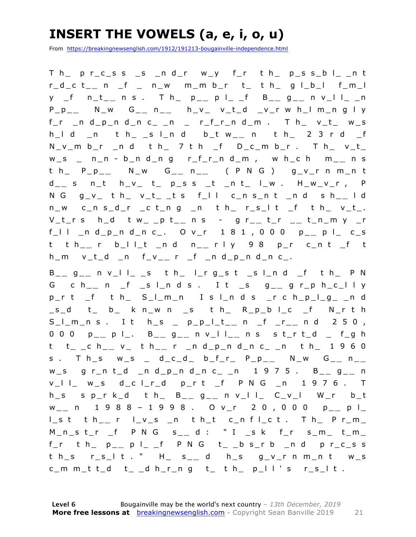### **INSERT THE VOWELS (a, e, i, o, u)**

From https://breakingnewsenglish.com/1912/191213-bougainville-independence.html

T h\_ p r\_c\_s s \_s \_n d\_r w\_y f\_r t h\_ p\_s s\_b l\_ \_n t r\_d\_c t\_ **\_** n \_f \_ n\_w m\_m b\_r t\_ t h\_ g l\_b\_l f\_m\_l y \_f n\_t\_ **\_** n s . T h \_ p\_ **\_** p l\_ \_f B\_ **\_** g \_ **\_** n v\_l l\_ \_n  $P_P$ <sub>--</sub> N\_w G<sub>--</sub> n\_\_ h\_v\_ v\_t\_d \_v\_r w h\_l m\_n g l y  $f_r$  \_n d\_p\_n d\_n c\_ \_n \_ r\_f\_r\_n d\_m . T h\_ v\_t\_ w\_s h\_l d \_n t h\_ \_s l\_n d b\_t w\_ **\_** n t h\_ 2 3 r d \_f  $N_v_m$  b\_r \_n d t h\_ 7 t h \_f D\_c\_m b\_r . T h\_ v\_t\_ w\_s \_ n\_n - b\_n d\_n g r\_f\_r\_n d\_m , w h\_c h m\_ **\_** n s t h\_ P\_p\_ **\_** N\_w G\_ **\_** n \_ **\_** ( P N G ) g\_v\_r n m\_n t d \_ **\_** s n\_t h\_v\_ t\_ p\_s s \_t \_n t\_ l\_w . H\_w\_v\_r , P N G g\_v\_ t h\_ v\_t\_ \_t s f\_l l c\_n s\_n t \_n d s h\_ **\_** l d  $n_w$  c\_n s\_d\_r \_c t\_n g \_n t h\_ r\_s\_l t \_f t h\_ v\_t\_. V\_t\_r s h\_d t w\_ \_p t\_ **\_** n s - g r\_ **\_** t\_r \_ **\_** t\_n\_m y \_r f\_l l \_n d\_p\_n d\_n c\_. O v\_r 1 8 1 , 0 0 0 p\_ **\_** p l\_ c\_s t t h\_ **\_** r b\_l l\_t \_n d n\_ **\_** r l y 9 8 p\_r c\_n t \_f t h\_m v\_t\_d \_n f\_v\_ **\_** r \_f \_n d\_p\_n d\_n c\_.

B \_ **\_** g \_ **\_** n v\_l l\_ \_s t h\_ l\_r g\_s t \_s l\_n d \_f t h\_ P N G c h\_ **\_** n \_f \_s l\_n d s . I t \_s g\_ **\_** g r\_p h\_c\_l l y  $p_r$  t  $_f$  t h  $S_l$  m\_n I s l\_n d s  $_r$  c h\_p\_l\_g\_ \_n d \_s\_d t\_ b\_ k n\_w n \_s t h\_ R\_p\_b l\_c \_f N\_r t h S\_l\_m\_n s . I t h\_s \_ p\_p\_l\_t\_ **\_** n \_f \_r\_ **\_** n d 2 5 0 , 0 0 0 p\_ **\_** p l\_. B\_ **\_** g \_ **\_** n v\_l l\_ **\_** n s s t\_r t\_d \_ f\_g h t t\_ \_c h\_ **\_** v\_ t h\_ **\_** r \_n d\_p\_n d\_n c\_ \_n t h\_ 1 9 6 0 s . T h\_s w\_s \_ d\_c\_d\_ b\_f\_r\_ P\_p\_ **\_** N\_w G\_ **\_** n \_ **\_**  w\_s g r\_n t\_d \_n d\_p\_n d\_n c\_ \_n 1 9 7 5 . B\_ **\_** g \_ **\_** n v\_l l\_ w\_s d\_c l\_r\_d p\_r t \_f P N G \_n 1 9 7 6 . T h\_s s p\_r k\_d t h\_ B\_ **\_** g \_ **\_** n v\_l l\_ C\_v\_l W\_r b\_t w \_ **\_** n 1 9 8 8 – 1 9 9 8 . O v\_r 2 0 , 0 0 0 p\_ **\_** p l\_ l\_s t t h\_ **\_** r l\_v\_s \_n t h\_t c\_n f l\_c t . T h\_ P r\_m\_ M\_n\_s t\_r \_f P N G s\_ **\_** d : " I \_s k f\_r s\_m\_ t\_m\_  $f_r$  t h\_ p\_\_ p l\_ \_f P N G t\_ \_b s\_r b \_n d p r\_c\_s s t h\_s r\_s\_l t . " H\_ s\_ **\_** d h\_s g\_v\_r n m\_n t w\_s c\_m m\_t t\_d t\_ \_d h\_r\_n g t\_ t h\_ p\_l l ' s r\_s\_l t .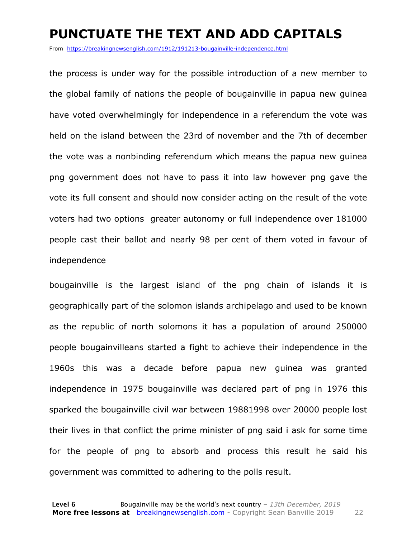#### **PUNCTUATE THE TEXT AND ADD CAPITALS**

From https://breakingnewsenglish.com/1912/191213-bougainville-independence.html

the process is under way for the possible introduction of a new member to the global family of nations the people of bougainville in papua new guinea have voted overwhelmingly for independence in a referendum the vote was held on the island between the 23rd of november and the 7th of december the vote was a nonbinding referendum which means the papua new guinea png government does not have to pass it into law however png gave the vote its full consent and should now consider acting on the result of the vote voters had two options greater autonomy or full independence over 181000 people cast their ballot and nearly 98 per cent of them voted in favour of independence

bougainville is the largest island of the png chain of islands it is geographically part of the solomon islands archipelago and used to be known as the republic of north solomons it has a population of around 250000 people bougainvilleans started a fight to achieve their independence in the 1960s this was a decade before papua new guinea was granted independence in 1975 bougainville was declared part of png in 1976 this sparked the bougainville civil war between 19881998 over 20000 people lost their lives in that conflict the prime minister of png said i ask for some time for the people of png to absorb and process this result he said his government was committed to adhering to the polls result.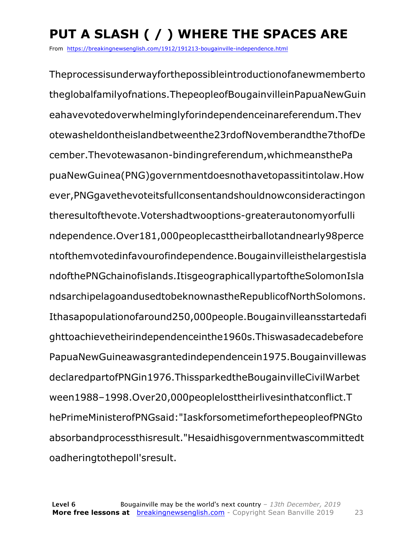## **PUT A SLASH ( / ) WHERE THE SPACES ARE**

From https://breakingnewsenglish.com/1912/191213-bougainville-independence.html

Theprocessisunderwayforthepossibleintroductionofanewmemberto theglobalfamilyofnations.ThepeopleofBougainvilleinPapuaNewGuin eahavevotedoverwhelminglyforindependenceinareferendum.Thev otewasheldontheislandbetweenthe23rdofNovemberandthe7thofDe cember.Thevotewasanon-bindingreferendum,whichmeansthePa puaNewGuinea(PNG)governmentdoesnothavetopassitintolaw.How ever,PNGgavethevoteitsfullconsentandshouldnowconsideractingon theresultofthevote.Votershadtwooptions-greaterautonomyorfulli ndependence.Over181,000peoplecasttheirballotandnearly98perce ntofthemvotedinfavourofindependence.Bougainvilleisthelargestisla ndofthePNGchainofislands.ItisgeographicallypartoftheSolomonIsla ndsarchipelagoandusedtobeknownastheRepublicofNorthSolomons. Ithasapopulationofaround250,000people.Bougainvilleansstartedafi ghttoachievetheirindependenceinthe1960s.Thiswasadecadebefore PapuaNewGuineawasgrantedindependencein1975.Bougainvillewas declaredpartofPNGin1976.ThissparkedtheBougainvilleCivilWarbet ween1988–1998.Over20,000peoplelosttheirlivesinthatconflict.T hePrimeMinisterofPNGsaid:"IaskforsometimeforthepeopleofPNGto absorbandprocessthisresult."Hesaidhisgovernmentwascommittedt oadheringtothepoll'sresult.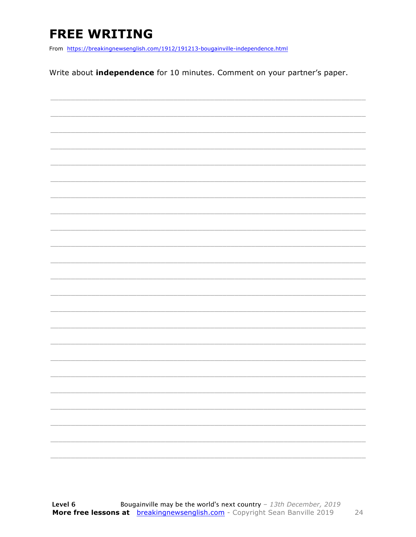### **FREE WRITING**

From https://breakingnewsenglish.com/1912/191213-bougainville-independence.html

Write about *independence* for 10 minutes. Comment on your partner's paper.

|  |  |  | $\overline{\phantom{0}}$ |
|--|--|--|--------------------------|
|  |  |  |                          |
|  |  |  | _____                    |
|  |  |  |                          |
|  |  |  |                          |
|  |  |  |                          |
|  |  |  |                          |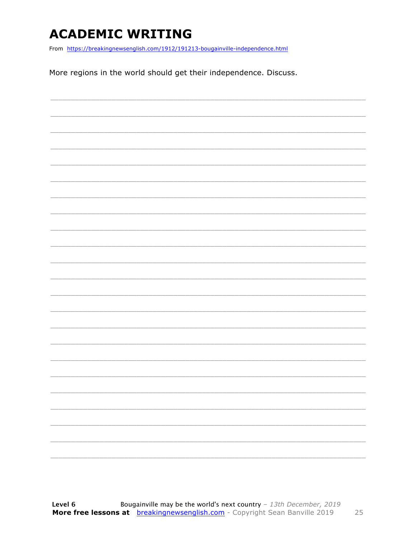### **ACADEMIC WRITING**

From https://breakingnewsenglish.com/1912/191213-bougainville-independence.html

More regions in the world should get their independence. Discuss.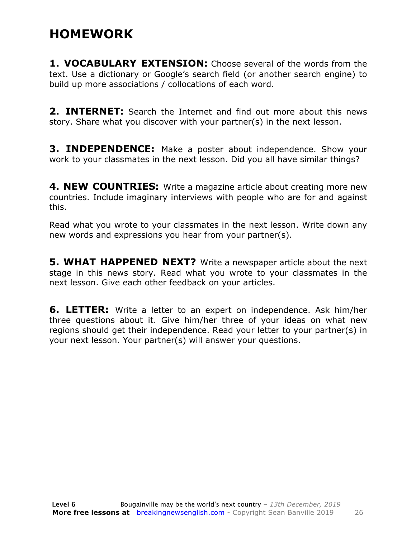#### **HOMEWORK**

**1. VOCABULARY EXTENSION:** Choose several of the words from the text. Use a dictionary or Google's search field (or another search engine) to build up more associations / collocations of each word.

**2. INTERNET:** Search the Internet and find out more about this news story. Share what you discover with your partner(s) in the next lesson.

**3. INDEPENDENCE:** Make a poster about independence. Show your work to your classmates in the next lesson. Did you all have similar things?

**4. NEW COUNTRIES:** Write a magazine article about creating more new countries. Include imaginary interviews with people who are for and against this.

Read what you wrote to your classmates in the next lesson. Write down any new words and expressions you hear from your partner(s).

**5. WHAT HAPPENED NEXT?** Write a newspaper article about the next stage in this news story. Read what you wrote to your classmates in the next lesson. Give each other feedback on your articles.

**6. LETTER:** Write a letter to an expert on independence. Ask him/her three questions about it. Give him/her three of your ideas on what new regions should get their independence. Read your letter to your partner(s) in your next lesson. Your partner(s) will answer your questions.